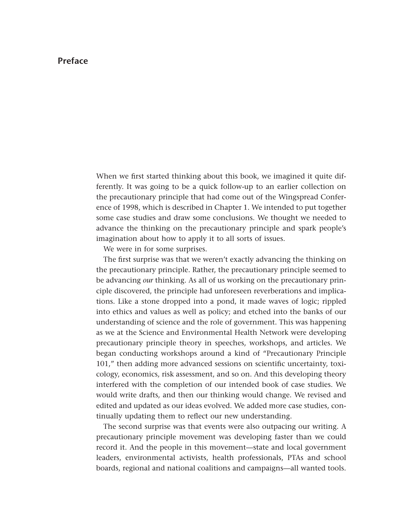## **Preface**

When we first started thinking about this book, we imagined it quite differently. It was going to be a quick follow-up to an earlier collection on the precautionary principle that had come out of the Wingspread Conference of 1998, which is described in Chapter 1. We intended to put together some case studies and draw some conclusions. We thought we needed to advance the thinking on the precautionary principle and spark people's imagination about how to apply it to all sorts of issues.

We were in for some surprises.

The first surprise was that we weren't exactly advancing the thinking on the precautionary principle. Rather, the precautionary principle seemed to be advancing *our* thinking. As all of us working on the precautionary prin[ciple discovered, the principle had unforeseen reverberations and implica](#page--1-0)tions. Like a stone dropped into a pond, it made waves of logic; rippled into ethics and values as well as policy; and etched into the banks of our understanding of science and the role of government. This was happening as we at the Science and Environmental Health Network were developing precautionary principle theory in speeches, workshops, and articles. We began conducting workshops around a kind of "Precautionary Principle 101," then adding more advanced sessions on scientific uncertainty, toxicology, economics, risk assessment, and so on. And this developing theory interfered with the completion of our intended book of case studies. We would write drafts, and then our thinking would change. We revised and edited and updated as our ideas evolved. We added more case studies, continually updating them to reflect our new understanding.

The second surprise was that events were also outpacing our writing. A precautionary principle movement was developing faster than we could record it. And the people in this movement—state and local government leaders, environmental activists, health professionals, PTAs and school boards, regional and national coalitions and campaigns—all wanted tools.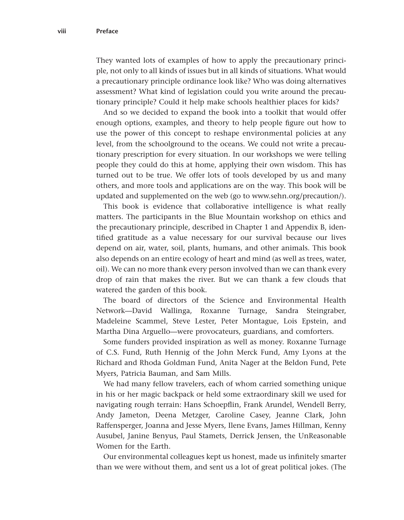They wanted lots of examples of how to apply the precautionary principle, not only to all kinds of issues but in all kinds of situations. What would a precautionary principle ordinance look like? Who was doing alternatives assessment? What kind of legislation could you write around the precautionary principle? Could it help make schools healthier places for kids?

And so we decided to expand the book into a toolkit that would offer enough options, examples, and theory to help people figure out how to use the power of this concept to reshape environmental policies at any level, from the schoolground to the oceans. We could not write a precautionary prescription for every situation. In our workshops we were telling people they could do this at home, applying their own wisdom. This has turned out to be true. We offer lots of tools developed by us and many others, and more tools and applications are on the way. This book will be updated and supplemented on the web (go to www.sehn.org/precaution/).

This book is evidence that collaborative intelligence is what really matters. The participants in the Blue Mountain workshop on ethics and the precautionary principle, described in Chapter 1 and Appendix B, identified gratitude as a value necessary for our survival because our lives depend on air, water, soil, plants, humans, and other animals. This book also depends on an entire ecology of heart and mind (as well as trees, water, oil). We can no more thank every person involved than we can thank every drop of rain that makes the river. But we can thank a few clouds that watered the garden of this book.

The board of directors of the Science and Environmental Health Network—David Wallinga, Roxanne Turnage, Sandra Steingraber, Madeleine Scammel, Steve Lester, Peter Montague, Lois Epstein, and Martha Dina Arguello—were provocateurs, guardians, and comforters.

Some funders provided inspiration as well as money. Roxanne Turnage of C.S. Fund, Ruth Hennig of the John Merck Fund, Amy Lyons at the Richard and Rhoda Goldman Fund, Anita Nager at the Beldon Fund, Pete Myers, Patricia Bauman, and Sam Mills.

We had many fellow travelers, each of whom carried something unique in his or her magic backpack or held some extraordinary skill we used for navigating rough terrain: Hans Schoepflin, Frank Arundel, Wendell Berry, Andy Jameton, Deena Metzger, Caroline Casey, Jeanne Clark, John Raffensperger, Joanna and Jesse Myers, Ilene Evans, James Hillman, Kenny Ausubel, Janine Benyus, Paul Stamets, Derrick Jensen, the UnReasonable Women for the Earth.

Our environmental colleagues kept us honest, made us infinitely smarter than we were without them, and sent us a lot of great political jokes. (The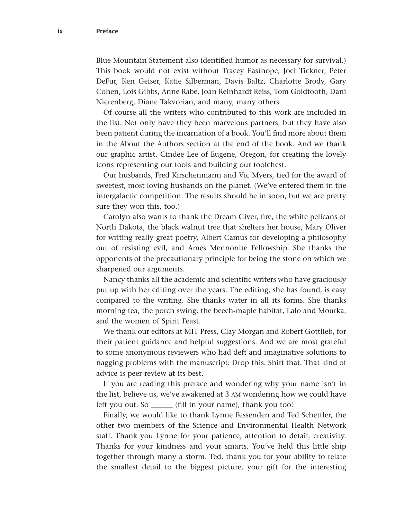Blue Mountain Statement also identified humor as necessary for survival.) This book would not exist without Tracey Easthope, Joel Tickner, Peter DeFur, Ken Geiser, Katie Silberman, Davis Baltz, Charlotte Brody, Gary Cohen, Lois Gibbs, Anne Rabe, Joan Reinhardt Reiss, Tom Goldtooth, Dani Nierenberg, Diane Takvorian, and many, many others.

Of course all the writers who contributed to this work are included in the list. Not only have they been marvelous partners, but they have also been patient during the incarnation of a book. You'll find more about them in the About the Authors section at the end of the book. And we thank our graphic artist, Cindee Lee of Eugene, Oregon, for creating the lovely icons representing our tools and building our toolchest.

Our husbands, Fred Kirschenmann and Vic Myers, tied for the award of sweetest, most loving husbands on the planet. (We've entered them in the intergalactic competition. The results should be in soon, but we are pretty sure they won this, too.)

Carolyn also wants to thank the Dream Giver, fire, the white pelicans of North Dakota, the black walnut tree that shelters her house, Mary Oliver for writing really great poetry, Albert Camus for developing a philosophy out of resisting evil, and Ames Mennonite Fellowship. She thanks the opponents of the precautionary principle for being the stone on which we sharpened our arguments.

Nancy thanks all the academic and scientific writers who have graciously put up with her editing over the years. The editing, she has found, is easy compared to the writing. She thanks water in all its forms. She thanks morning tea, the porch swing, the beech-maple habitat, Lalo and Mourka, and the women of Spirit Feast.

We thank our editors at MIT Press, Clay Morgan and Robert Gottlieb, for their patient guidance and helpful suggestions. And we are most grateful to some anonymous reviewers who had deft and imaginative solutions to nagging problems with the manuscript: Drop this. Shift that. That kind of advice is peer review at its best.

If you are reading this preface and wondering why your name isn't in the list, believe us, we've awakened at 3 AM wondering how we could have left you out. So \_\_\_\_\_\_ (fill in your name), thank you too!

Finally, we would like to thank Lynne Fessenden and Ted Schettler, the other two members of the Science and Environmental Health Network staff. Thank you Lynne for your patience, attention to detail, creativity. Thanks for your kindness and your smarts. You've held this little ship together through many a storm. Ted, thank you for your ability to relate the smallest detail to the biggest picture, your gift for the interesting